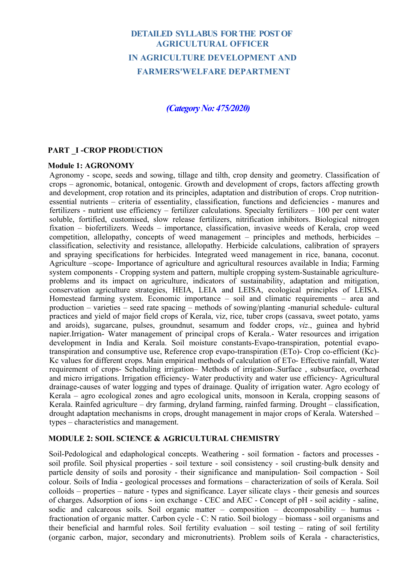# **DETAILED SYLLABUS FOR THE POST OF AGRICULTURAL OFFICER IN AGRICULTURE DEVELOPMENT AND FARMERS'WELFARE DEPARTMENT**

# *(Category No: 475/2020)*

## **PART \_I -CROP PRODUCTION**

#### **Module 1: AGRONOMY**

Agronomy - scope, seeds and sowing, tillage and tilth, crop density and geometry. Classification of crops – agronomic, botanical, ontogenic. Growth and development of crops, factors affecting growth and development, crop rotation and its principles, adaptation and distribution of crops. Crop nutritionessential nutrients – criteria of essentiality, classification, functions and deficiencies - manures and fertilizers - nutrient use efficiency – fertilizer calculations. Specialty fertilizers – 100 per cent water soluble, fortified, customised, slow release fertilizers, nitrification inhibitors. Biological nitrogen fixation – biofertilizers. Weeds – importance, classification, invasive weeds of Kerala, crop weed competition, allelopathy, concepts of weed management – principles and methods, herbicides – classification, selectivity and resistance, allelopathy. Herbicide calculations, calibration of sprayers and spraying specifications for herbicides. Integrated weed management in rice, banana, coconut. Agriculture –scope- Importance of agriculture and agricultural resources available in India; Farming system components - Cropping system and pattern, multiple cropping system-Sustainable agricultureproblems and its impact on agriculture, indicators of sustainability, adaptation and mitigation, conservation agriculture strategies, HEIA, LEIA and LEISA, ecological principles of LEISA. Homestead farming system. Economic importance – soil and climatic requirements – area and production – varieties – seed rate spacing – methods of sowing/planting -manurial schedule- cultural practices and yield of major field crops of Kerala, viz, rice, tuber crops (cassava, sweet potato, yams and aroids), sugarcane, pulses, groundnut, sesamum and fodder crops, *viz*., guinea and hybrid napier.Irrigation- Water management of principal crops of Kerala.- Water resources and irrigation development in India and Kerala. Soil moisture constants-Evapo-transpiration, potential evapotranspiration and consumptive use, Reference crop evapo-transpiration (ETo)- Crop co-efficient (Kc)- Kc values for different crops. Main empirical methods of calculation of ETo- Effective rainfall, Water requirement of crops- Scheduling irrigation– Methods of irrigation-.Surface , subsurface, overhead and micro irrigations. Irrigation efficiency- Water productivity and water use efficiency- Agricultural drainage-causes of water logging and types of drainage. Quality of irrigation water. Agro ecology of Kerala – agro ecological zones and agro ecological units, monsoon in Kerala, cropping seasons of Kerala. Rainfed agriculture – dry farming, dryland farming, rainfed farming. Drought – classification, drought adaptation mechanisms in crops, drought management in major crops of Kerala. Watershed – types – characteristics and management.

### **MODULE 2: SOIL SCIENCE & AGRICULTURAL CHEMISTRY**

Soil-Pedological and edaphological concepts. Weathering - soil formation - factors and processes soil profile. Soil physical properties - soil texture - soil consistency - soil crusting-bulk density and particle density of soils and porosity - their significance and manipulation- Soil compaction - Soil colour. Soils of India - geological processes and formations – characterization of soils of Kerala. Soil colloids – properties – nature - types and significance. Layer silicate clays - their genesis and sources of charges. Adsorption of ions - ion exchange - CEC and AEC - Concept of pH - soil acidity - saline, sodic and calcareous soils. Soil organic matter – composition – decomposability – humus fractionation of organic matter. Carbon cycle - C: N ratio. Soil biology – biomass - soil organisms and their beneficial and harmful roles. Soil fertility evaluation – soil testing – rating of soil fertility (organic carbon, major, secondary and micronutrients). Problem soils of Kerala - characteristics,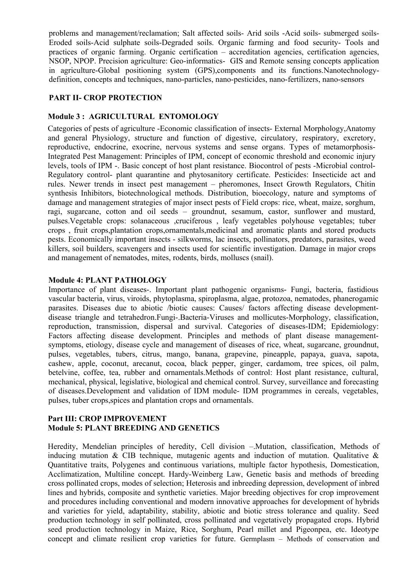problems and management/reclamation; Salt affected soils- Arid soils -Acid soils- submerged soils-Eroded soils-Acid sulphate soils-Degraded soils. Organic farming and food security- Tools and practices of organic farming. Organic certification – accreditation agencies, certification agencies, NSOP, NPOP. Precision agriculture: Geo-informatics- GIS and Remote sensing concepts application in agriculture-Global positioning system (GPS),components and its functions.Nanotechnologydefinition, concepts and techniques, nano-particles, nano-pesticides, nano-fertilizers, nano-sensors

# **PART II- CROP PROTECTION**

# **Module 3 : AGRICULTURAL ENTOMOLOGY**

Categories of pests of agriculture -Economic classification of insects- External Morphology,Anatomy and general Physiology, structure and function of digestive, circulatory, respiratory, excretory, reproductive, endocrine, exocrine, nervous systems and sense organs. Types of metamorphosis-Integrated Pest Management: Principles of IPM, concept of economic threshold and economic injury levels, tools of IPM -. Basic concept of host plant resistance. Biocontrol of pests -Microbial control-Regulatory control- plant quarantine and phytosanitory certificate. Pesticides: Insecticide act and rules. Newer trends in insect pest management – pheromones, Insect Growth Regulators, Chitin synthesis Inhibitors, biotechnological methods. Distribution, bioecology, nature and symptoms of damage and management strategies of major insect pests of Field crops: rice, wheat, maize, sorghum, ragi, sugarcane, cotton and oil seeds – groundnut, sesamum, castor, sunflower and mustard, pulses. Vegetable crops: solanaceous ,cruciferous , leafy vegetables polyhouse vegetables; tuber crops , fruit crops,plantation crops,ornamentals,medicinal and aromatic plants and stored products pests. Economically important insects - silkworms, lac insects, pollinators, predators, parasites, weed killers, soil builders, scavengers and insects used for scientific investigation. Damage in major crops and management of nematodes, mites, rodents, birds, molluscs (snail).

## **Module 4: PLANT PATHOLOGY**

Importance of plant diseases-. Important plant pathogenic organisms- Fungi, bacteria, fastidious vascular bacteria, virus, viroids, phytoplasma, spiroplasma, algae, protozoa, nematodes, phanerogamic parasites. Diseases due to abiotic /biotic causes: Causes/ factors affecting disease developmentdisease triangle and tetrahedron.Fungi-.Bacteria-Viruses and mollicutes-Morphology, classification, reproduction, transmission, dispersal and survival. Categories of diseases-IDM; Epidemiology: Factors affecting disease development. Principles and methods of plant disease managementsymptoms, etiology, disease cycle and management of diseases of rice, wheat, sugarcane, groundnut, pulses, vegetables, tubers, citrus, mango, banana, grapevine, pineapple, papaya, guava, sapota, cashew, apple, coconut, arecanut, cocoa, black pepper, ginger, cardamom, tree spices, oil palm, betelvine, coffee, tea, rubber and ornamentals.Methods of control: Host plant resistance, cultural, mechanical, physical, legislative, biological and chemical control. Survey, surveillance and forecasting of diseases.Development and validation of IDM module- IDM programmes in cereals, vegetables, pulses, tuber crops,spices and plantation crops and ornamentals.

# **Part III: CROP IMPROVEMENT Module 5: PLANT BREEDING AND GENETICS**

Heredity, Mendelian principles of heredity, Cell division –.Mutation, classification, Methods of inducing mutation  $\&$  CIB technique, mutagenic agents and induction of mutation. Qualitative  $\&$ Quantitative traits, Polygenes and continuous variations, multiple factor hypothesis, Domestication, Acclimatization, Multiline concept. Hardy-Weinberg Law, Genetic basis and methods of breeding cross pollinated crops, modes of selection; Heterosis and inbreeding depression, development of inbred lines and hybrids, composite and synthetic varieties. Major breeding objectives for crop improvement and procedures including conventional and modern innovative approaches for development of hybrids and varieties for yield, adaptability, stability, abiotic and biotic stress tolerance and quality. Seed production technology in self pollinated, cross pollinated and vegetatively propagated crops. Hybrid seed production technology in Maize, Rice, Sorghum, Pearl millet and Pigeonpea, etc. Ideotype concept and climate resilient crop varieties for future. Germplasm – Methods of conservation and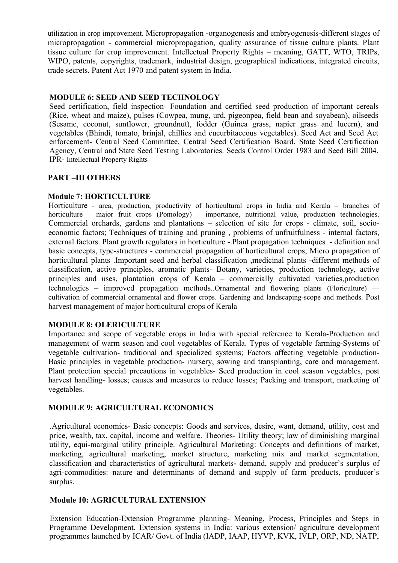utilization in crop improvement. Micropropagation -organogenesis and embryogenesis-different stages of micropropagation - commercial micropropagation, quality assurance of tissue culture plants. Plant tissue culture for crop improvement. Intellectual Property Rights – meaning, GATT, WTO, TRIPs, WIPO, patents, copyrights, trademark, industrial design, geographical indications, integrated circuits, trade secrets. Patent Act 1970 and patent system in India.

## **MODULE 6: SEED AND SEED TECHNOLOGY**

Seed certification, field inspection- Foundation and certified seed production of important cereals (Rice, wheat and maize), pulses (Cowpea, mung, urd, pigeonpea, field bean and soyabean), oilseeds (Sesame, coconut, sunflower, groundnut), fodder (Guinea grass, napier grass and lucern), and vegetables (Bhindi, tomato, brinjal, chillies and cucurbitaceous vegetables). Seed Act and Seed Act enforcement- Central Seed Committee, Central Seed Certification Board, State Seed Certification Agency, Central and State Seed Testing Laboratories. Seeds Control Order 1983 and Seed Bill 2004, IPR- Intellectual Property Rights

## **PART –III OTHERS**

## **Module 7: HORTICULTURE**

Horticulture - area, production, productivity of horticultural crops in India and Kerala – branches of horticulture – major fruit crops (Pomology) – importance, nutritional value, production technologies. Commercial orchards, gardens and plantations – selection of site for crops - climate, soil, socioeconomic factors; Techniques of training and pruning , problems of unfruitfulness - internal factors, external factors. Plant growth regulators in horticulture -.Plant propagation techniques - definition and basic concepts, type-structures - commercial propagation of horticultural crops; Micro propagation of horticultural plants .Important seed and herbal classification ,medicinal plants -different methods of classification, active principles, aromatic plants- Botany, varieties, production technology, active principles and uses, plantation crops of Kerala – commercially cultivated varieties,production technologies – improved propagation methods..Ornamental and flowering plants (Floriculture) –– cultivation of commercial ornamental and flower crops. Gardening and landscaping-scope and methods. Post harvest management of major horticultural crops of Kerala

# **MODULE 8: OLERICULTURE**

Importance and scope of vegetable crops in India with special reference to Kerala-Production and management of warm season and cool vegetables of Kerala. Types of vegetable farming-Systems of vegetable cultivation- traditional and specialized systems; Factors affecting vegetable production-Basic principles in vegetable production- nursery, sowing and transplanting, care and management. Plant protection special precautions in vegetables- Seed production in cool season vegetables, post harvest handling- losses; causes and measures to reduce losses; Packing and transport, marketing of vegetables.

### **MODULE 9: AGRICULTURAL ECONOMICS**

.Agricultural economics- Basic concepts: Goods and services, desire, want, demand, utility, cost and price, wealth, tax, capital, income and welfare. Theories- Utility theory; law of diminishing marginal utility, equi-marginal utility principle. Agricultural Marketing: Concepts and definitions of market, marketing, agricultural marketing, market structure, marketing mix and market segmentation, classification and characteristics of agricultural markets**-** demand, supply and producer's surplus of agri-commodities: nature and determinants of demand and supply of farm products, producer's surplus.

### **Module 10: AGRICULTURAL EXTENSION**

Extension Education-Extension Programme planning- Meaning, Process, Principles and Steps in Programme Development. Extension systems in India: various extension/ agriculture development programmes launched by ICAR/ Govt. of India (IADP, IAAP, HYVP, KVK, IVLP, ORP, ND, NATP,